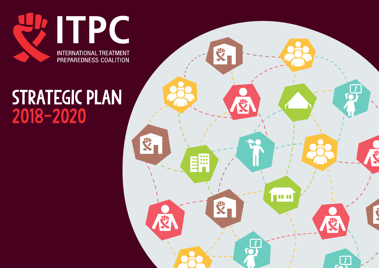

## STRATEGIC PLAN 2018-2020

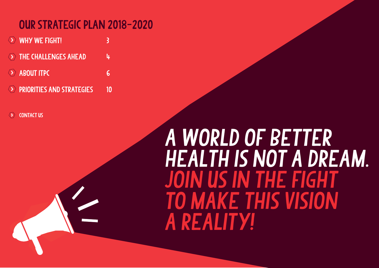## <span id="page-1-0"></span>Our strategic plan 2018-2020

- $\langle \rangle$  WHY WE FIGHT!
- THE CHALLENGES AHEAD 4
- $\odot$  [About ITPC](#page-5-0) 6
- **EXAMPLE AND STRATEGIES 10**

**CONTACT US** 

# A WORLD OF BETTER health is not a dream. join us in the fight to make this vision a reality!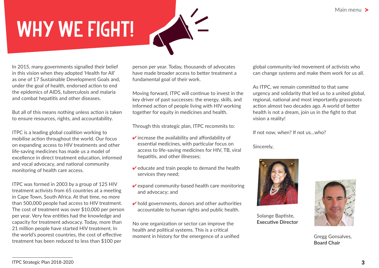# <span id="page-2-1"></span><span id="page-2-0"></span>WHY WE FIGHT!

In 2015, many governments signalled their belief in this vision when they adopted 'Health for All' as one of 17 Sustainable Development Goals and, under the goal of health, endorsed action to end the epidemics of AIDS, tuberculosis and malaria and combat hepatitis and other diseases.

But all of this means nothing unless action is taken to ensure resources, rights, and accountability.

ITPC is a leading global coalition working to mobilise action throughout the world. Our focus on expanding access to HIV treatments and other life-saving medicines has made us a model of excellence in direct treatment education, informed and vocal advocacy, and national community monitoring of health care access.

ITPC was formed in 2003 by a group of 125 HIV treatment activists from 65 countries at a meeting in Cape Town, South Africa. At that time, no more than 500,000 people had access to HIV treatment. The cost of treatment was over \$10,000 per person per year. Very few entities had the knowledge and capacity for treatment advocacy. Today, more than 21 million people have started HIV treatment. In the world's poorest countries, the cost of effective treatment has been reduced to less than \$100 per

<span id="page-2-2"></span>person per year. Today, thousands of advocates have made broader access to better treatment a fundamental goal of their work.

Moving forward, ITPC will continue to invest in the key driver of past successes: the energy, skills, and informed action of people living with HIV working together for equity in medicines and health.

Through this strategic plan, ITPC recommits to:

- $\triangledown$  increase the availability and affordability of essential medicines, with particular focus on access to life-saving medicines for HIV, TB, viral hepatitis, and other illnesses;
- $\vee$  educate and train people to demand the health services they need;
- $\vee$  expand community-based health care monitoring and advocacy; and
- $\triangleright$  hold governments, donors and other authorities accountable to human rights and public health.

No one organization or sector can improve the health and political systems. This is a critical moment in history for the emergence of a unified global community-led movement of activists who can change systems and make them work for us all.

As ITPC, we remain committed to that same urgency and solidarity that led us to a united global, regional, national and most importantly grassroots action almost two decades ago. A world of better health is not a dream, join us in the fight to that vision a reality!

If not now, when? If not us…who?

Sincerely,



Solange Baptiste, **Executive Director**



Gregg Gonsalves, **Board Chair**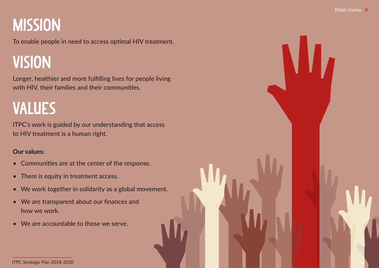## <span id="page-3-1"></span><span id="page-3-0"></span>**MISSION**

To enable people in need to access optimal HIV treatment.

## VISION

Longer, healthier and more fulfilling lives for people living with HIV, their families and their communities.

## VALUES

ITPC's work is guided by our understanding that access to HIV treatment is a human right.

#### Our values:

- Communities are at the center of the response.
- There is equity in treatment access.
- We work together in solidarity as a global movement.
- We are transparent about our finances and how we work.
- We are accountable to those we serve.

ITPC Strategic Plan 2018-2020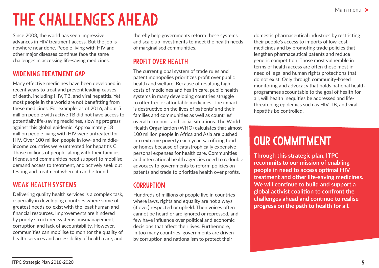## <span id="page-4-0"></span>The challenges ahead

Since 2003, the world has seen impressive advances in HIV treatment access. But the job is nowhere near done. People living with HIV and other major diseases continue face the same challenges in accessing life-saving medicines.

#### WIDENING TREATMENT GAP

Many effective medicines have been developed in recent years to treat and prevent leading causes of death, including HIV, TB, and viral hepatitis. Yet most people in the world are not benefitting from these medicines. For example, as of 2016, about 5 million people with active TB did not have access to potentially life-saving medicines, slowing progress against this global epidemic. Approximately 18 million people living with HIV were untreated for HIV. Over 100 million people in low- and middleincome countries were untreated for hepatitis C. Those millions of people, along with their families, friends, and communities need support to mobilise, demand access to treatment, and actively seek out testing and treatment where it can be found.

#### WEAK HEALTH SYSTEMS

Delivering quality health services is a complex task, especially in developing countries where some of greatest needs co-exist with the least human and financial resources. Improvements are hindered by poorly structured systems, mismanagement, corruption and lack of accountability. However, communities can mobilise to monitor the quality of health services and accessibility of health care, and

thereby help governments reform these systems and scale up investments to meet the health needs of marginalised communities.

#### PROFIT OVER HEALTH

The current global system of trade rules and patent monopolies prioritizes profit over public health and welfare. Because of resulting high costs of medicines and health care, public health systems in many developing countries struggle to offer free or affordable medicines. The impact is destructive on the lives of patients' and their families and communities as well as countries' overall economic and social situations. The World Health Organization (WHO) calculates that almost 100 million people in Africa and Asia are pushed into extreme poverty each year, sacrificing food or homes because of catastrophically expensive personal expenses for health care. Communities and international health agencies need to redouble advocacy to governments to reform policies on patents and trade to prioritise health over profits.

#### **CORRUPTION**

Hundreds of millions of people live in countries where laws, rights and equality are not always (if ever) respected or upheld. Their voices often cannot be heard or are ignored or repressed, and few have influence over political and economic decisions that affect their lives. Furthermore, in too many countries, governments are driven by corruption and nationalism to protect their

domestic pharmaceutical industries by restricting their people's access to imports of low-cost medicines and by promoting trade policies that lengthen pharmaceutical patents and reduce generic competition. Those most vulnerable in terms of health access are often those most in need of legal and human rights protections that do not exist. Only through community-based monitoring and advocacy that holds national health programmes accountable to the goal of health for all, will health inequities be addressed and lifethreatening epidemics such as HIV, TB, and viral hepatitis be controlled.

## our commitment

**Through this strategic plan, ITPC recommits to our mission of enabling people in need to access optimal HIV treatment and other life-saving medicines. We will continue to build and support a global activist coalition to confront the challenges ahead and continue to realise progress on the path to health for all.**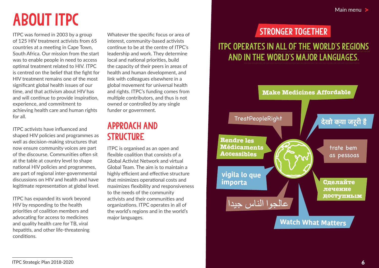## <span id="page-5-1"></span><span id="page-5-0"></span>About ITPC

ITPC was formed in 2003 by a group of 125 HIV treatment activists from 65 countries at a meeting in Cape Town, South Africa. Our mission from the start was to enable people in need to access optimal treatment related to HIV. ITPC is centred on the belief that the fight for HIV treatment remains one of the most significant global health issues of our time, and that activism about HIV has and will continue to provide inspiration, experience, and commitment to achieving health care and human rights for all.

ITPC activists have influenced and shaped HIV policies and programmes as well as decision-making structures that now ensure community voices are part of the discourse. Communities often sit at the table at country level to shape national HIV policies and programmes, are part of regional inter-governmental discussions on HIV and health and have legitimate representation at global level.

ITPC has expanded its work beyond HIV by responding to the health priorities of coalition members and advocating for access to medicines and quality health care for TB, viral hepatitis, and other life-threatening conditions.

Whatever the specific focus or area of interest, community-based activists continue to be at the centre of ITPC's leadership and work. They determine local and national priorities, build the capacity of their peers in areas of health and human development, and link with colleagues elsewhere in a global movement for universal health and rights. ITPC's funding comes from multiple contributors, and thus is not owned or controlled by any single funder or government.

### Approach and **STRUCTURE**

ITPC is organised as an open and flexible coalition that consists of a Global Activist Network and virtual Global Team. The aim is to maintain a highly efficient and effective structure that minimizes operational costs and maximizes flexibility and responsiveness to the needs of the community activists and their communities and organizations. ITPC operates in all of the world's regions and in the world's major languages.

## STronger together

### ITPC operates in all of the world's regions and in the world's major languages.

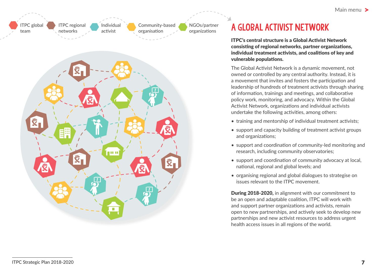



## a global activist [network](#page-1-0)

ITPC's central structure is a Global Activist Network consisting of regional networks, partner organizations, individual treatment activists, and coalitions of key and vulnerable populations.

The Global Activist Network is a dynamic movement, not owned or controlled by any central authority. Instead, it is a movement that invites and fosters the participation and leadership of hundreds of treatment activists through sharing of information, trainings and meetings, and collaborative policy work, monitoring, and advocacy. Within the Global Activist Network, organizations and individual activists undertake the following activities, among others:

- training and mentorship of individual treatment activists;
- support and capacity building of treatment activist groups and organizations;
- support and coordination of community-led monitoring and research, including community observatories;
- support and coordination of community advocacy at local, national, regional and global levels; and
- organising regional and global dialogues to strategise on issues relevant to the ITPC movement.

During 2018-2020, in alignment with our commitment to be an open and adaptable coalition, ITPC will work with and support partner organizations and activists, remain open to new partnerships, and actively seek to develop new partnerships and new activist resources to address urgent health access issues in all regions of the world.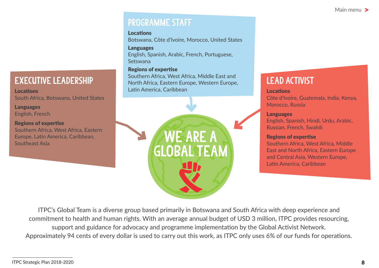### Programme Staff

#### Locations

Botswana, Côte d'Ivoire, Morocco, United States

#### Languages

English, Spanish, Arabic, French, Portuguese, Setswana

#### Regions of expertise

Southern Africa, West Africa, Middle East and North Africa, Eastern Europe, Western Europe, Latin America, Caribbean



## Lead Activist

#### Locations

Côte d'Ivoire, Guatemala, India, Kenya, Morocco, Russia

#### Languages

English, Spanish, Hindi, Urdu, Arabic, Russian, French, Swahili

#### Regions of expertise

Southern Africa, West Africa, Middle East and North Africa, Eastern Europe and Central Asia, Western Europe, Latin America, Caribbean

ITPC's Global Team is a diverse group based primarily in Botswana and South Africa with deep experience and commitment to health and human rights. With an average annual budget of USD 3 million, ITPC provides resourcing, support and guidance for advocacy and programme implementation by the Global Activist Network. Approximately 94 cents of every dollar is used to carry out this work, as ITPC only uses 6% of our funds for operations.

Executive Leadership

South Africa, Botswana, United States

Southern Africa, West Africa, Eastern Europe, Latin America, Caribbean,

Locations

Languages English, French

Regions of expertise

Southeast Asia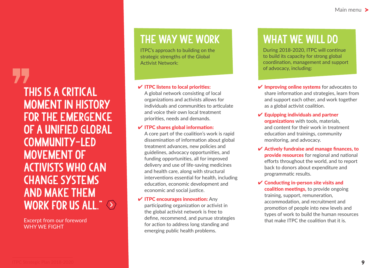## This is a critical moment in history for the emergence of a unified global community-led movement of activists who can change systems and make them WORK FOR US ALL."

Excerpt from our foreword WHY WE FIGHT

## The way we work

ITPC's approach to building on the strategic strengths of the Global Activist Network:

#### $\vee$  ITPC listens to local priorities:

A global network consisting of local organizations and activists allows for individuals and communities to articulate and voice their own local treatment priorities, needs and demands.

#### $\vee$  ITPC shares global information:

A core part of the coalition's work is rapid dissemination of information about global treatment advances, new policies and guidelines, advocacy opportunities, and funding opportunities, all for improved delivery and use of life-saving medicines and health care, along with structural interventions essential for health, including education, economic development and economic and social justice.

#### $\checkmark$  ITPC encourages innovation: Any

participating organization or activist in the global activist network is free to define, recommend, and pursue strategies for action to address long standing and emerging public health problems.

## WHAT WE WILL DO

During 2018-2020, ITPC will continue to build its capacity for strong global coordination, management and support of advocacy, including:

- $\vee$  Improving online systems for advocates to share information and strategies, learn from and support each other, and work together as a global activist coalition.
- $\vee$  Equipping individuals and partner organizations with tools, materials, and content for their work in treatment education and trainings, community monitoring, and advocacy.
- $\vee$  Actively fundraise and manage finances, to provide resources for regional and national efforts throughout the world, and to report back to donors about expenditure and programmatic results.
- $\checkmark$  Conducting in-person site visits and coalition meetings, to provide ongoing training, support, remuneration, accommodation, and recruitment and promotion of people into new levels and types of work to build the human resources that make ITPC the coalition that it is.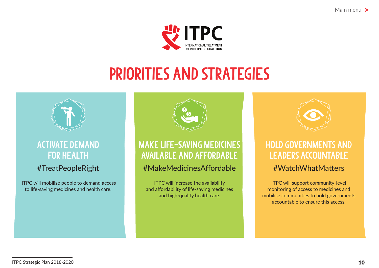[Main menu](#page-1-0) >



## <span id="page-9-1"></span>priorities and strategies

<span id="page-9-0"></span>

#### Activate demand for health

#### #TreatPeopleRight

 ITPC will mobilise people to demand access to life-saving medicines and health care.



### MAKE LIFE-SAVING MEDICINES AVAILABLE AND AFFORDABLE

#### #MakeMedicinesAffordable

ITPC will increase the availability and affordability of life-saving medicines and high-quality health care.



## Hold governments and LEADERS ACCOUNTABLE

#### #WatchWhatMatters

ITPC will support community-level monitoring of access to medicines and mobilise communities to hold governments accountable to ensure this access.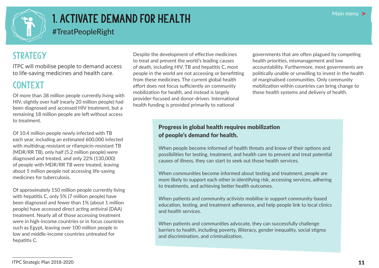<span id="page-10-0"></span>

## 1. Activate demand for health

#TreatPeopleRight

## **STRATEGY**

ITPC will mobilise people to demand access to life-saving medicines and health care.

#### **CONTEXT**

Of more than 38 million people currently living with HIV, slightly over half (nearly 20 million people) had been diagnosed and accessed HIV treatment, but a remaining 18 million people are left without access to treatment.

Of 10.4 million people newly infected with TB each year, including an estimated 600,000 infected with multidrug-resistant or rifampicin-resistant TB (MDR/RR TB), only half (5.2 million people) were diagnosed and treated, and only 22% (130,000) of people with MDR/RR TB were treated, leaving about 5 million people not accessing life-saving medicines for tuberculosis.

Of approximately 150 million people currently living with hepatitis C, only 5% (7 million people) have been diagnosed and fewer than 1% (about 1 million people) have accessed direct acting antiviral (DAA) treatment. Nearly all of those accessing treatment were in high-income countries or in focus countries such as Egypt, leaving over 100 million people in low and middle-income countries untreated for hepatitis C.

Despite the development of effective medicines to treat and prevent the world's leading causes of death, including HIV, TB and hepatitis C, most people in the world are not accessing or benefitting from these medicines. The current global health effort does not focus sufficiently on community mobilization for health, and instead is largely provider-focused and donor-driven. International health funding is provided primarily to national

governments that are often plagued by competing health priorities, mismanagement and low accountability. Furthermore, most governments are politically unable or unwilling to invest in the health of marginalised communities. Only community mobilization within countries can bring change to these health systems and delivery of health.

#### Progress in global health requires mobilization of people's demand for health.

When people become informed of health threats and know of their options and possibilities for testing, treatment, and health care to prevent and treat potential causes of illness, they can start to seek out those health services.

When communities become informed about testing and treatment, people are more likely to support each other in identifying risk, accessing services, adhering to treatments, and achieving better health outcomes.

When patients and community activists mobilise in support community-based education, testing, and treatment adherence, and help people link to local clinics and health services.

When patients and communities advocate, they can successfully challenge barriers to health, including poverty, illiteracy, gender inequality, social stigma and discrimination, and criminalization.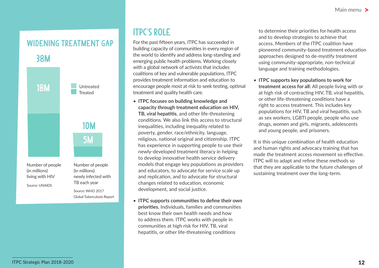#### WIDENING TREATMENT GAP



## ITPC's role

For the past fifteen years, ITPC has succeeded in building capacity of communities in every region of the world to identify and address long-standing and emerging public health problems. Working closely with a global network of activists that includes coalitions of key and vulnerable populations, ITPC provides treatment information and education to encourage people most at risk to seek testing, optimal treatment and quality health care.

- **ITPC focuses on building knowledge and capacity through treatment education on HIV, TB, viral hepatitis**, and other life-threatening conditions. We also link this access to structural inequalities, including inequality related to poverty, gender, race/ethnicity, language, religious, national original and citizenship. ITPC has experience in supporting people to use their newly-developed treatment literacy in helping to develop innovative health service delivery models that engage key populations as providers and educators, to advocate for service scale up and replication, and to advocate for structural changes related to education, economic development, and social justice.
- **ITPC supports communities to define their own priorities.** Individuals, families and communities best know their own health needs and how to address them. ITPC works with people in communities at high risk for HIV, TB, viral hepatitis, or other life-threatening conditions

to determine their priorities for health access and to develop strategies to achieve that access. Members of the ITPC coalition have pioneered community-based treatment education approaches designed to de-mystify treatment using community-appropriate, non-technical language and training methodologies.

• **ITPC supports key populations to work for treatment access for all:** All people living with or at high risk of contracting HIV, TB, viral hepatitis, or other life-threatening conditions have a right to access treatment. This includes key populations for HIV, TB and viral hepatitis, such as sex workers, LGBTI people, people who use drugs, women and girls, migrants, adolescents and young people, and prisoners.

It is this unique combination of health education and human rights and advocacy training that has made the treatment access movement so effective. ITPC will to adapt and refine these methods so that they are applicable to the future challenges of sustaining treatment over the long-term.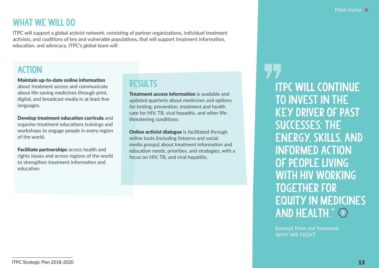### WHAT WE WILL DO

ITPC will support a global activist network, consisting of partner organizations, individual treatment activists, and coalitions of key and vulnerable populations, that will support treatment information, education, and advocacy. ITPC's global team will:

#### ACTION

Maintain up-to-date online information about treatment access and communicate about life-saving medicines through print, digital, and broadcast media in at least five languages.

Develop treatment education curricula and organise treatment educations trainings and workshops to engage people in every region of the world.

Facilitate partnerships across health and rights issues and across regions of the world to strengthen treatment information and education.

### RESULTS

Treatment access information is available and updated quarterly about medicines and options for testing, prevention, treatment and health care for HIV, TB, viral hepatitis, and other lifethreatening conditions.

**Online activist dialogue** is facilitated through online tools (including listservs and social media groups) about treatment information and education needs, priorities, and strategies, with a focus on HIV, TB, and viral hepatitis.

ITPC will continue to invest in the key driver of past successes: the energy, skills, and informed action of people living WITH HIV WORKING together for [equity in medicines](#page-2-2)  AND HEALTH."

Excerpt from our foreword WHY WE FIGHT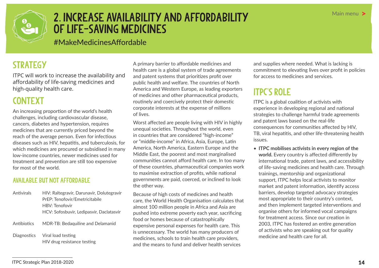<span id="page-13-0"></span>

## 2. Increase availability and affordability of life-saving medicines

#MakeMedicinesAffordable

### **STRATEGY**

ITPC will work to increase the availability and affordability of life-saving medicines and high-quality health care.

### **CONTEXT**

An increasing proportion of the world's health challenges, including cardiovascular disease, cancers, diabetes and hypertension, requires medicines that are currently priced beyond the reach of the average person. Even for infectious diseases such as HIV, hepatitis, and tuberculosis, for which medicines are procured or subsidised in many low-income countries, newer medicines used for treatment and prevention are still too expensive for most of the world.

#### AVAILABLE BUT NOT AFFORDABLE

- Antivirals HIV: Raltegravir, Darunavir, Dolutegravir PrEP: Tenofovir/Emetricitabile HBV: Tenofovir HCV: Sofosbuvir, Ledipasvir, Daclatasvir
- Antibiotics MDR-TB: Bedaquiline and Delamanid
- Diagnostics Viral load testing HIV drug resistance testing

A primary barrier to affordable medicines and health care is a global system of trade agreements and patent systems that prioritizes profit over public health and welfare. The countries of North America and Western Europe, as leading exporters of medicines and other pharmaceutical products, routinely and coercively protect their domestic corporate interests at the expense of millions of lives.

Worst affected are people living with HIV in highly unequal societies. Throughout the world, even in countries that are considered "high-income" or "middle-income" in Africa, Asia, Europe, Latin America, North America, Eastern Europe and the Middle East, the poorest and most marginalised communities cannot afford health care. In too many of these countries, pharmaceutical companies work to maximise extraction of profits, while national governments are paid, coerced, or inclined to look the other way.

Because of high costs of medicines and health care, the World Health Organisation calculates that almost 100 million people in Africa and Asia are pushed into extreme poverty each year, sacrificing food or homes because of catastrophically expensive personal expenses for health care. This is unnecessary. The world has many producers of medicines, schools to train health care providers, and the means to fund and deliver health services

and supplies where needed. What is lacking is commitment to elevating lives over profit in policies for access to medicines and services.

## ITPC's role

ITPC is a global coalition of activists with experience in developing regional and national strategies to challenge harmful trade agreements and patent laws based on the real-life consequences for communities affected by HIV, TB, viral hepatitis, and other life-threatening health issues.

• **ITPC mobilises activists in every region of the world.** Every country is affected differently by international trade, patent laws, and accessibility of life-saving medicines and health care. Through trainings, mentorship and organizational support, ITPC helps local activists to monitor market and patent information, identify access barriers, develop targeted advocacy strategies most appropriate to their country's context, and then implement targeted interventions and organise others for informed vocal campaigns for treatment access. Since our creation in 2003, ITPC has fostered an entire generation of activists who are speaking out for quality medicine and health care for all.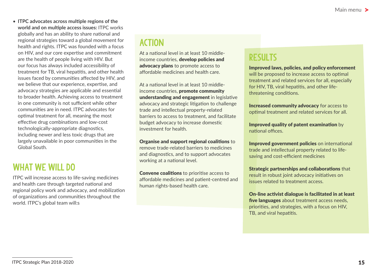• **ITPC advocates across multiple regions of the world and on multiple access issues:** ITPC works globally and has an ability to share national and regional strategies toward a global movement for health and rights. ITPC was founded with a focus on HIV, and our core expertise and commitment are the health of people living with HIV. But our focus has always included accessibility of treatment for TB, viral hepatitis, and other health issues faced by communities affected by HIV, and we believe that our experience, expertise, and advocacy strategies are applicable and essential to broader health. Achieving access to treatment in one community is not sufficient while other communities are in need. ITPC advocates for optimal treatment for all, meaning the most effective drug combinations and low-cost technologically-appropriate diagnostics, including newer and less toxic drugs that are largely unavailable in poor communities in the Global South.

### WHAT WE WILL DO

ITPC will increase access to life-saving medicines and health care through targeted national and regional policy work and advocacy, and mobilization of organizations and communities throughout the world. ITPC's global team will:s

## ACTION

At a national level in at least 10 middleincome countries, develop policies and advocacy plans to promote access to affordable medicines and health care.

At a national level in at least 10 middleincome countries, promote community understanding and engagement in legislative advocacy and strategic litigation to challenge trade and intellectual property-related barriers to access to treatment, and facilitate budget advocacy to increase domestic investment for health.

Organise and support regional coalitions to remove trade-related barriers to medicines and diagnostics, and to support advocates working at a national level.

Convene coalitions to prioritise access to affordable medicines and patient-centred and human rights-based health care.

#### **RESULTS**

Improved laws, policies, and policy enforcement will be proposed to increase access to optimal treatment and related services for all, especially for HIV, TB, viral hepatitis, and other lifethreatening conditions.

Increased community advocacy for access to optimal treatment and related services for all.

Improved quality of patent examination by national offices.

Improved government policies on international trade and intellectual property related to lifesaving and cost-efficient medicines

Strategic partnerships and collaborations that result in robust joint advocacy initiatives on issues related to treatment access.

On-line activist dialogue is facilitated in at least five languages about treatment access needs, priorities, and strategies, with a focus on HIV, TB, and viral hepatitis.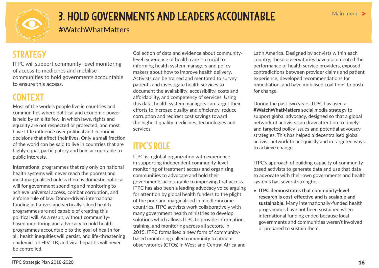<span id="page-15-0"></span>

## 3. Hold governments and leaders accountable

#WatchWhatMatters

### **STRATEGY**

ITPC will support community-level monitoring of access to medicines and mobilise communities to hold governments accountable to ensure this access.

#### **CONTEXT**

Most of the world's people live in countries and communities where political and economic power is held by an elite few, in which laws, rights and equality are not respected or protected, and most have little influence over political and economic decisions that affect their lives. Only a small fraction of the world can be said to live in countries that are highly equal, participatory and held accountable to public interests.

International programmes that rely only on national health systems will never reach the poorest and most marginalised unless there is domestic political will for government spending and monitoring to achieve universal access, combat corruption, and enforce rule of law. Donor-driven international funding initiatives and vertically-siloed health programmes are not capable of creating this political will. As a result, without communitybased monitoring and advocacy to hold health programmes accountable to the goal of health for all, health inequities will persist, and life-threatening epidemics of HIV, TB, and viral hepatitis will never be controlled.

Collection of data and evidence about communitylevel experience of health care is crucial to informing health system managers and policy makers about how to improve health delivery. Activists can be trained and mentored to survey patients and investigate health services to document the availability, accessibility, costs and affordability, and competency of services. Using this data, health system managers can target their efforts to increase quality and efficiency, reduce corruption and redirect cost savings toward the highest quality medicines, technologies and services.

## ITPC's role

ITPC is a global organization with experience in supporting independent community-level monitoring of treatment access and organising communities to advocate and hold their governments accountable to improving that access. ITPC has also been a leading advocacy voice arguing for attention by global health funders to the plight of the poor and marginalised in middle-income countries. ITPC activists work collaboratively with many government health ministries to develop solutions which allows ITPC to provide information, training, and monitoring across all sectors. In 2015, ITPC formalised a new form of communitybased monitoring called community treatment observatories (CTOs) in West and Central Africa and Latin America. Designed by activists within each country, these observatories have documented the performance of health service providers, exposed contradictions between provider claims and patient experience, developed recommendations for remediation, and have mobilised coalitions to push for change.

During the past two years, ITPC has used a **#WatchWhatMatters** social media strategy to support global advocacy, designed so that a global network of activists can draw attention to timely and targeted policy issues and potential advocacy strategies. This has helped a decentralised global activist network to act quickly and in targeted ways to achieve change.

ITPC's approach of building capacity of communitybased activists to generate data and use that data to advocate with their own governments and health systems has several strengths:

• **ITPC demonstrates that community-level research is cost-effective and is scalable and sustainable.** Many internationally-funded health programmes have not been sustained when international funding ended because local governments and communities weren't involved or prepared to sustain them.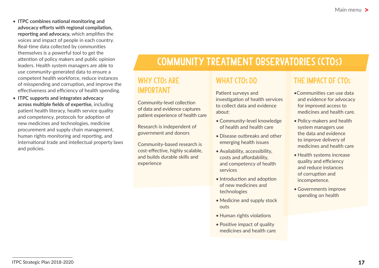- **ITPC combines national monitoring and advocacy efforts with regional compilation, reporting and advocacy,** which amplifies the voices and impact of people in each country. Real-time data collected by communities themselves is a powerful tool to get the attention of policy makers and public opinion leaders. Health system managers are able to use community-generated data to ensure a competent health workforce, reduce instances of misspending and corruption, and improve the effectiveness and efficiency of health spending.
- **ITPC supports and integrates advocacy across multiple fields of expertise,** including patient health literacy, health service quality and competency, protocols for adoption of new medicines and technologies, medicine procurement and supply chain management, human rights monitoring and reporting, and international trade and intellectual property laws and policies.

## Community treatment observatories (CTOs)

#### WHY CTO<sub>S</sub> ARE important

Community-level collection of data and evidence captures patient experience of health care

Research is independent of government and donors

Community-based research is cost-effective, highly scalable, and builds durable skills and experience

#### WHAT CTO<sub>S</sub> DO

Patient surveys and investigation of health services to collect data and evidence about:

- Community-level knowledge of health and health care
- Disease outbreaks and other emerging health issues
- Availability, accessibility, costs and affordability, and competency of health services
- Introduction and adoption of new medicines and technologies
- Medicine and supply stock outs
- Human rights violations
- Positive impact of quality medicines and health care

#### THE IMPACT OF CTOs

- •Communities can use data and evidence for advocacy for improved access to medicines and health care.
- Policy-makers and health system managers use the data and evidence to improve delivery of medicines and health care
- Health systems increase quality and efficiency and reduce instances of corruption and incompetence.
- Governments improve spending on health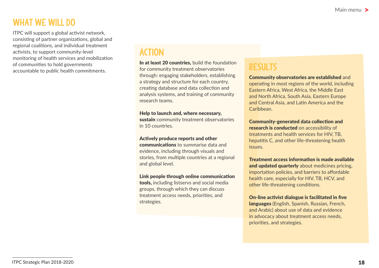#### WHAT WE WILL DO

ITPC will support a global activist network, consisting of partner organizations, global and regional coalitions, and individual treatment activists, to support community-level monitoring of health services and mobilization of communities to hold governments accountable to public health commitments.

#### ACTION

In at least 20 countries, build the foundation for community treatment observatories through: engaging stakeholders, establishing a strategy and structure for each country, creating database and data collection and analysis systems, and training of community research teams.

#### Help to launch and, where necessary,

sustain community treatment observatories in 10 countries.

#### Actively produce reports and other

communications to summarise data and evidence, including through visuals and stories, from multiple countries at a regional and global level.

#### Link people through online communication

tools, including listservs and social media groups, through which they can discuss treatment access needs, priorities, and strategies.

#### **RESULTS**

Community observatories are established and operating in most regions of the world, including Eastern Africa, West Africa, the Middle East and North Africa, South Asia, Eastern Europe and Central Asia, and Latin America and the Caribbean.

Community-generated data collection and research is conducted on accessibility of treatments and health services for HIV, TB, hepatitis C, and other life-threatening health issues.

Treatment access information is made available and updated quarterly about medicines pricing, importation policies, and barriers to affordable health care, especially for HIV, TB, HCV, and other life-threatening conditions.

On-line activist dialogue is facilitated in five languages (English, Spanish, Russian, French, and Arabic) about use of data and evidence in advocacy about treatment access needs, priorities, and strategies.